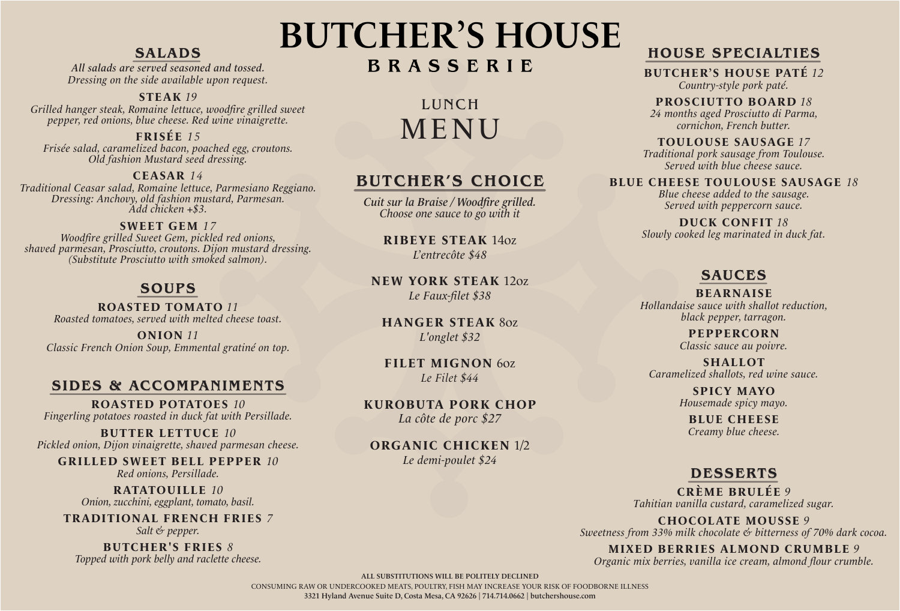# SALADS

All salads are served seasoned and tossed. Dressing on the side available upon request.

#### **STEAK** *19*

Grilled hanger steak, Romaine lettuce, woodfire grilled sweet pepper, red onions, blue cheese. Red wine vinaigrette.

## **FRISÉE** *15*

Frisée salad, caramelized bacon, poached egg, croutons. Old fashion Mustard seed dressing.

## **CEASAR** *14*

Traditional Ceasar salad, Romaine lettuce, Parmesiano Reggiano. Dressing: Anchovy, old fashion mustard, Parmesan. Add chicken +\$3.

### **SWEET GEM** *17*

Woodfire grilled Sweet Gem, pickled red onions, shaved parmesan, Prosciutto, croutons. Dijon mustard dressing. (Substitute Prosciutto with smoked salmon).

# SOUPS

**ROASTED TOMATO** *11* Roasted tomatoes, served with melted cheese toast.

**ONION** *11* Classic French Onion Soup, Emmental gratiné on top.

# SIDES & ACCOMPANIMENTS

**ROASTED POTATOES** *10* Fingerling potatoes roasted in duck fat with Persillade.

**BUTTER LETTUCE** *10* Pickled onion, Dijon vinaigrette, shaved parmesan cheese.

**GRILLED SWEET BELL PEPPER** *10* Red onions, Persillade.

> **RATATOUILLE** *10* Onion, zucchini, eggplant, tomato, basil.

**TRADITIONAL FRENCH FRIES** *7* Salt & pepper.

**BUTCHER'S FRIES** *8* Topped with pork belly and raclette cheese.

# **BUTCHER'S HOUSE** BRASSERIE

LUNCH MENU

# BUTCHER'S CHOICE

Cuit sur la Braise / Woodfire grilled. Choose one sauce to go with it

**RIBEYE STEAK** 14oz L'entrecôte \$48

**NEW YORK STEAK** 12oz Le Faux-filet \$38

**HANGER STEAK** 8oz L'onglet \$32

**FILET MIGNON** 6oz *Le Filet* \$44

**KUROBUTA PORK CHOP** La côte de porc \$27

**ORGANIC CHICKEN** 1/2 Le demi-poulet \$24

# HOUSE SPECIALTIES

#### **BUTCHER'S HOUSE PATÉ** *12* Country-style pork paté.

**PROSCIUTTO BOARD** *18* 24 months aged Prosciutto di Parma, cornichon, French butter.

**TOULOUSE SAUSAGE** *17* Traditional pork sausage from Toulouse. Served with blue cheese sauce.

**BLUE CHEESE TOULOUSE SAUSAGE** *18* 

Blue cheese added to the sausage. Served with peppercorn sauce.

**DUCK CONFIT** *18* Slowly cooked leg marinated in duck fat.

# SAUCES

#### **BEARNAISE** Hollandaise sauce with shallot reduction,

black pepper, tarragon.

**PEPPERCORN** Classic sauce au poivre.

**SHALLOT** Caramelized shallots, red wine sauce.

> **SPICY MAYO** Housemade spicy mayo.

**BLUE CHEESE** Creamy blue cheese.

# DESSERTS

**CRÈME BRULÉE** *9* Tahitian vanilla custard, caramelized sugar.

**CHOCOLATE MOUSSE** *9* Sweetness from 33% milk chocolate & bitterness of 70% dark cocoa.

**MIXED BERRIES ALMOND CRUMBLE** *9* Organic mix berries, vanilla ice cream, almond flour crumble.

ALL SUBSTITUTIONS WILL BE POLITELY DECLINED

CONSUMING RAW OR UNDERCOOKED MEATS, POULTRY, FISH MAY INCREASE YOUR RISK OF FOODBORNE ILLNESS 3321 Hyland Avenue Suite D, Costa Mesa, CA 92626 | 714.714.0662 | butchershouse.com